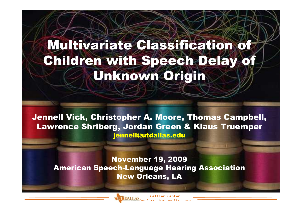### Multivariate Classification of Children with Speech Delay Unknown Origin

Jennell Vick, Christopher A. Moore, Thomas Campbell, Lawrence Shriberg, Jordan Green & Klaus Truemper jennell@utdallas.edu

November 19, 2009 American Speech-Language Hearing AssociationNew Orleans, LA



**Callier Center**<br>for Communication Disorders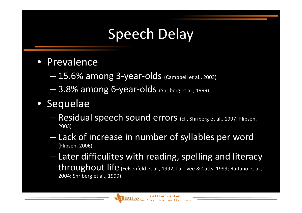### Speech Delay

- Prevalence
	- **Hart Communication**  $15.6\%$  among 3-year-olds  $_{\rm (campbell\ et\ al.\,2003)}$
	- **Hart Communication**  $-$  3.8% among 6-year-olds (Shriberg et al., 1999)
- Sequelae
	- **Hart Communication** - Residual speech sound errors (cf., Shriberg et al., 1997; Flipsen, 2003)
	- **Hart Communication** - Lack of increase in number of syllables per word<br>(Flirsen 2006) (Flipsen, 2006)
	- –- Later difficulites with reading, spelling and literacy throughout life $\boldsymbol{\mathsf{C}}$  (Felsenfeld et al., 1992; Larrivee & Catts, 1999; Raitano et al.,  $_{\rm 20}$ 2004; Shriberg et al., 1999)

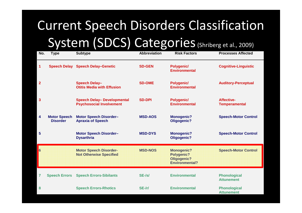# Current Speech Disorders Classification System (SDCS) Categories (Shriberg et al., 2009)

| No.            | <b>Type</b>                            | <b>Subtype</b>                                                        | <b>Abbreviation</b> | <b>Risk Factors</b>                                                     | <b>Processes Affected</b>                 |
|----------------|----------------------------------------|-----------------------------------------------------------------------|---------------------|-------------------------------------------------------------------------|-------------------------------------------|
| 1              | <b>Speech Delay</b>                    | <b>Speech Delay-Genetic</b>                                           | <b>SD-GEN</b>       | Polygenic/<br><b>Environmental</b>                                      | <b>Cognitive-Linguistic</b>               |
| $\overline{2}$ |                                        | <b>Speech Delay-</b><br><b>Otitis Media with Effusion</b>             | <b>SD-OME</b>       | Polygenic/<br><b>Environmental</b>                                      | <b>Auditory-Perceptual</b>                |
| 3              |                                        | <b>Speech Delay- Developmental</b><br><b>Psychosocial Involvement</b> | <b>SD-DPI</b>       | Polygenic/<br><b>Environmental</b>                                      | <b>Affective-</b><br><b>Temperamental</b> |
| 4              | <b>Motor Speech</b><br><b>Disorder</b> | <b>Motor Speech Disorder-</b><br><b>Apraxia of Speech</b>             | <b>MSD-AOS</b>      | <b>Monogenic?</b><br>Oligogenic?                                        | <b>Speech-Motor Control</b>               |
| 5              |                                        | <b>Motor Speech Disorder-</b><br><b>Dysarthria</b>                    | <b>MSD-DYS</b>      | <b>Monogenic?</b><br>Oligogenic?                                        | <b>Speech-Motor Control</b>               |
| <b>6</b>       |                                        | <b>Motor Speech Disorder-</b><br><b>Not Otherwise Specified</b>       | <b>MSD-NOS</b>      | <b>Monogenic?</b><br>Polygenic?<br>Oligogenic?<br><b>Environmental?</b> | <b>Speech-Motor Control</b>               |
| $\overline{7}$ | <b>Speech Errors</b>                   | <b>Speech Errors-Sibilants</b>                                        | $SE-SI$             | <b>Environmental</b>                                                    | <b>Phonological</b><br><b>Attunement</b>  |
| 8              |                                        | <b>Speech Errors-Rhotics</b>                                          | $SE-tr/$            | <b>Environmental</b>                                                    | <b>Phonological</b><br><b>Attunement</b>  |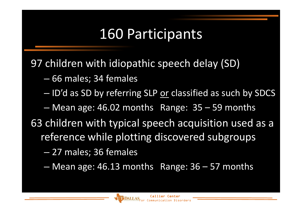### 160 Participants

97 children with idiopathic speech delay (SD)

- $\mathcal{L}_{\mathcal{A}}$ 66 males; 34 females
- $\mathcal{L}_{\mathcal{A}}$  , where  $\mathcal{L}_{\mathcal{A}}$  is the set of the set of the set of the set of the set of the set of the set of the set of the set of the set of the set of the set of the set of the set of the set of the set of the — ID'd as SD by referring SLP <u>or</u> classified as such by SDCS
- – Mean age: 46.02 months Range: 35 –59 months
- 63 children with typical speech acquisition used as a reference while plotting discovered subgroups
	- $\mathcal{L}_{\mathcal{A}}$ 27 males; 36 females
	- $\mathcal{L}_{\mathcal{A}}$  , where  $\mathcal{L}_{\mathcal{A}}$  is the set of the set of the set of the set of the set of the set of the set of the set of the set of the set of the set of the set of the set of the set of the set of the set of the Mean age: 46.13 months Range: 36 – 57 months

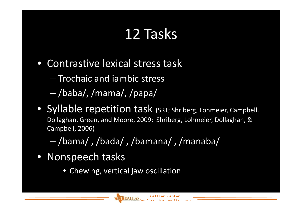# 12 Tasks

- Contrastive lexical stress task
	- – $-$  Trochaic and iambic stress
	- **Hart Communication** /baba/, /mama/, /papa/
- Syllable repetition task (SRT; Shriberg, Lohmeier, Campbell, Dollaghan, Green, and Moore, 2009; Shriberg, Lohmeier, Dollaghan, & Campbell, 2006)
	- –/bama/ , /bada/ , /bamana/ , /manaba/
- Nonspeech tasks
	- Chewing, vertical jaw oscillation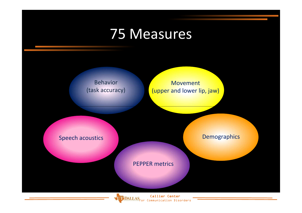### 75 Measures

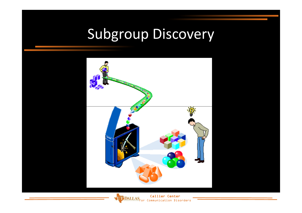# Subgroup Discovery



**Callier Center**<br>for Communication Disorders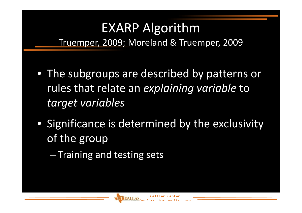# EXARP Algorithm

Truemper, 2009; Moreland & Truemper, 2009

- The subgroups are described by patterns or rules that relate an *explaining variable* to *target variables*
- Significance is determined by the exclusivity of the group
	- – $-$  Training and testing sets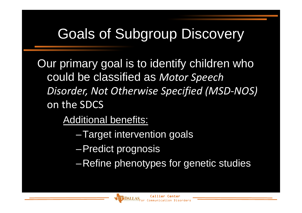## Goals of Subgroup Discovery

Our primary goal is to identify children who could be classified as *Motor Speech Disorder, Not Otherwise Specified (MSD-NOS)* on the SDCS

Additional benefits:

- –Target intervention goals
- –Predict prognosis
- –Refine phenotypes for genetic studies

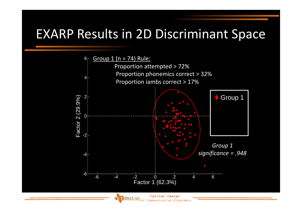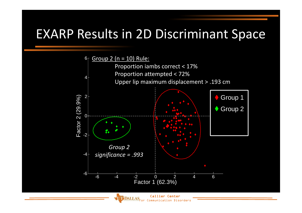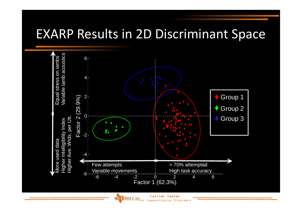

**Callier Center**<br>for Communication Disorders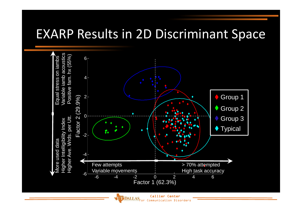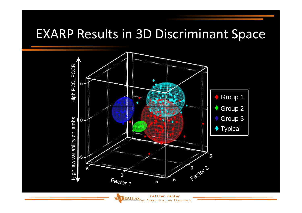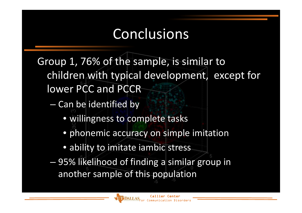Group 1, 76% of the sample, is similar to children with typical development, except for lower PCC and PCCR

- **Hart Communication**  $-$  Can be identified by
	- willingness to complete tasks
	- phonemic accuracy on simple imitation
	- ability to imitate iambic stress
- **Hart Communication**  95% likelihood of finding a similar group in another sample of this population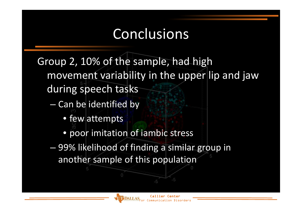Group 2, 10% of the sample, had high movement variability in the upper lip and jaw during speech tasks

- – $-$  Can be identified by
	- few attempts
	- poor imitation of iambic stress
- – 99% likelihood of finding a similar group in another sample of this population

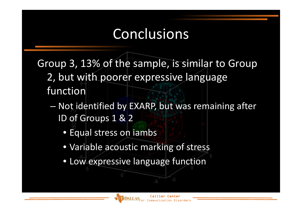Group 3, 13% of the sample, is similar to Group 2, but with poorer expressive language function

- –- Not identified by EXARP, but was remaining after ID of Groups 1 & 2
	- Equal stress on iambs
	- Variable acoustic marking of stress
	- Low expressive language function

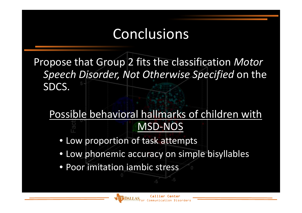Propose that Group 2 fits the classification *Motor Speech Disorder, Not Otherwise Specified* on the SDCS.

#### Possible behavioral hallmarks of children with MSD-NOS

- Low proportion of task attempts
- Low phonemic accuracy on simple bisyllables
- Poor imitation iambic stress

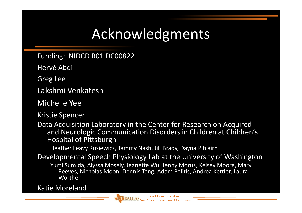### Acknowledgments

Funding: NIDCD R01 DC00822

Hervé Abdi

Greg Lee

Lakshmi Venkatesh

Michelle Yee

Kristie Spencer

Data Acquisition Laboratory in the Center for Research on Acquired and Neurologic Communication Disorders in Children at Children's Hospital of Pittsburgh

Heather Leavy Rusiewicz, Tammy Nash, Jill Brady, Dayna Pitcairn

Developmental Speech Physiology Lab at the University of Washington

Yumi Sumida, Alyssa Mosely, Jeanette Wu, Jenny Morus, Kelsey Moore, Mary Reeves, Nicholas Moon, Dennis Tang, Adam Politis, Andrea Kettler, Laura Worthen

Katie Moreland

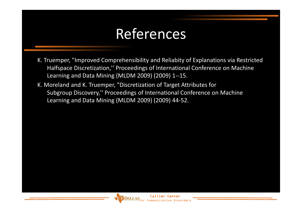### References

- K. Truemper, "Improved Comprehensibility and Reliabity of Explanations via Restricted Halfspace Discretization,'' Proceedings of International Conference on Machine Learning and Data Mining (MLDM 2009) (2009) 1--15.
- K. Moreland and K. Truemper, "Discretization of Target Attributes for Subgroup Discovery,'' Proceedings of International Conference on Machine Learning and Data Mining (MLDM 2009) (2009) 44-52.

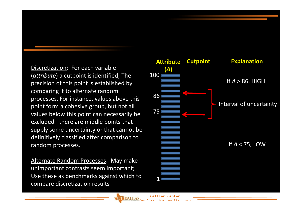Discretization: For each variable (*attribute*) a cutpoint is identified; The precision of this point is established by comparing it to alternate random processes. For instance, values above this point form a cohesive group, but not all values below this point can necessarily be excluded– there are middle points that supply some uncertainty or that cannot be definitively classified after comparison to random processes.

Alternate Random Processes: May make unimportant contrasts seem important; Use these as benchmarks against which to compare discretization results

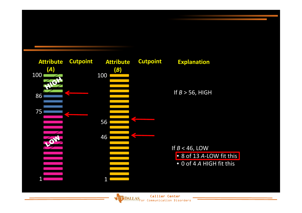